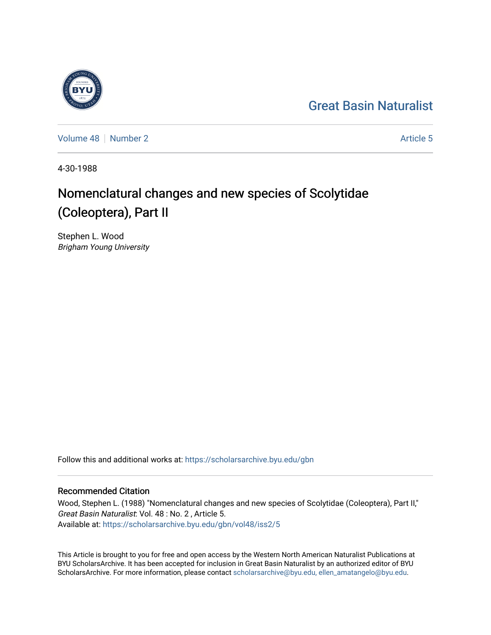## [Great Basin Naturalist](https://scholarsarchive.byu.edu/gbn)

[Volume 48](https://scholarsarchive.byu.edu/gbn/vol48) [Number 2](https://scholarsarchive.byu.edu/gbn/vol48/iss2) Article 5

4-30-1988

# Nomenclatural changes and new species of Scolytidae (Coleoptera), Part II

Stephen L. Wood Brigham Young University

Follow this and additional works at: [https://scholarsarchive.byu.edu/gbn](https://scholarsarchive.byu.edu/gbn?utm_source=scholarsarchive.byu.edu%2Fgbn%2Fvol48%2Fiss2%2F5&utm_medium=PDF&utm_campaign=PDFCoverPages) 

## Recommended Citation

Wood, Stephen L. (1988) "Nomenclatural changes and new species of Scolytidae (Coleoptera), Part II," Great Basin Naturalist: Vol. 48 : No. 2 , Article 5. Available at: [https://scholarsarchive.byu.edu/gbn/vol48/iss2/5](https://scholarsarchive.byu.edu/gbn/vol48/iss2/5?utm_source=scholarsarchive.byu.edu%2Fgbn%2Fvol48%2Fiss2%2F5&utm_medium=PDF&utm_campaign=PDFCoverPages)

This Article is brought to you for free and open access by the Western North American Naturalist Publications at BYU ScholarsArchive. It has been accepted for inclusion in Great Basin Naturalist by an authorized editor of BYU ScholarsArchive. For more information, please contact [scholarsarchive@byu.edu, ellen\\_amatangelo@byu.edu.](mailto:scholarsarchive@byu.edu,%20ellen_amatangelo@byu.edu)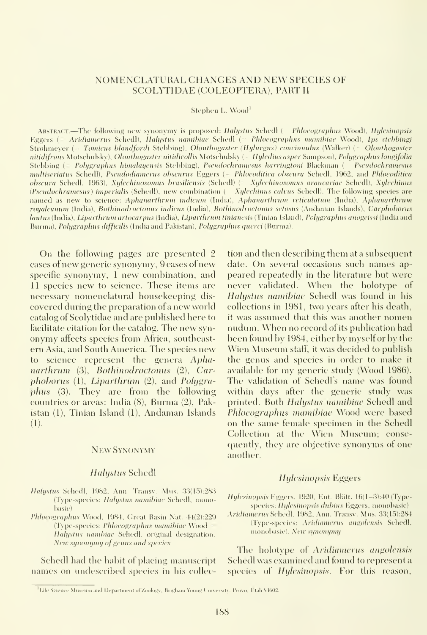## NOMENCLATURAL CHANGES AND NEW SPECIES OF SCOLYTIDAE (COLEOPTERA), PART II

Stephen L. Wood<sup>1</sup>

ABSTRACT.—The following new synonymy is proposed: Halystus Schedl ( Phlocographus Wood), Hylcsinopsis Eggers (= Aridiamerus Schedl), Halystus namibiae Schedl ( Phlocographus mamibiae Wood), Ips stebbingi Strohmever (~ Tomicus blandfordi Stebbing), Olonthogaster (Hylurgus) concinnulus (Walker) (= Olonthogaster nitidifrons Motschulsky), Olonthogaster nitidicollis Motschulsky (- Hyledius asper Sampson), Polygraphus longifolia Stebbing (= Polygraphus himalayensis Stebbing), Pscudochramesus harringtoni Blackman (= Pscudochramcsus multiseriatus Schedl), Pseudodiamerus obscurus Eggers (- Phloeoditica obscura Schedl, 1962, and Phloeoditica obscura Schedl, 1963), Xylechinosomus brasiliensis (Schedl) (= Xylechinosomus araucariae Schedl), Xylechinus (Pscudochramesus) imperialis (Schedl), new combination (- Xylechinus calvus Schedl). The following species are named as new to science: Aphanarthrum indicum (India), Aphanarthrum reticulatum (India), Aphanarthrum royaleanum (India), Bothinodroctonus indicus (India), Bothinodroctonus setosus (Andaman Islands), Carphoborus hautus (India), Liparthrum artocarpus (India), Liparthrum tinianesis (Tinian Island), Polygraphus anogeissi (India and Burma), Polygraphus difficilis (India and Pakistan), Polygraphus querci (Burma).

On the following pages are presented <sup>2</sup> cases of new generic synonymy, 9 cases of new specific synonymy, <sup>1</sup> new combination, and 11 species new to science. These items are necessary nomenclatural housekeeping discovered during tlie preparation of<sup>a</sup> new world catalog of Scolytidae and are published here to facilitate citation for the catalog. The new syn onymy affects species from Africa, southeast ern Asia, and South America. The species new to science represent the genera Aphanarthrum (3), Bothinodroctonus (2), Car $phoborus (1), Liparthrum (2), and Polugra$ plius (3). They are from the following countries or areas: India (8), Burma (2), Pakistan (1), Tinian Island (1), Andaman Islands (1).

#### NEW SYNONYMY

## Halystus Schedl

- Halystus Schedl, 1982, Ann. Transv. Mus. 33(15):283 (Type-species: *Halystus namibiae* Schedl, monobasic)
- Phloeographus Wood, 1984, Great Basin Nat. 44(2):229 (Type-species: Phlocographus mamibiac Wood Halystus nambiae Schedl, original designation. New synonymy of genus and species

Schedl had the habit of placing manuscript names on undescribed species in his collec-

tion and then describing them at a subsequent date. On several occasions such names ap peared repeatedly in the literature but were never validated. When the holotype of Halystus namihiac Schedl was found in his collections in 1981, two years after his death, it was assumed that this was another nomen nudum. When no record of its publication had been found by 1984, either by myselfor by the Wien Museum staff, it was decided to publish the genus and species in order to make it available for my generic study (Wood 1986). The validation of Schedl's name was found within days after the generic study was printed. Both Halystus namibiac Schedl and Phloeographus mamibiae Wood were based on the same female specimen in the Schedl Collection at the Wien Museum; conse quently, they are objective synonyms of one another.

#### Hylesinopsis Eggers

Hylesinopsis Eggers, 1920, Ent. Blätt. 16(1-3):40 (Typespecies: Hylesinopsis dubius Eggers, monobasic)

Aridiamerus Schedl, 1982, Ann. Transv. Mus. 33(15):284 (Type-species: Aridiamerus angolensis Schedl, monobasic). New synonymy

The holotype of Aridiamerus angolensis Schedl was examined and found to represent a species of *Hylesinopsis*. For this reason,

<sup>&</sup>lt;sup>1</sup>Life Science Museum and Department of Zoology, Brigham Young University, Provo. Utah S1602.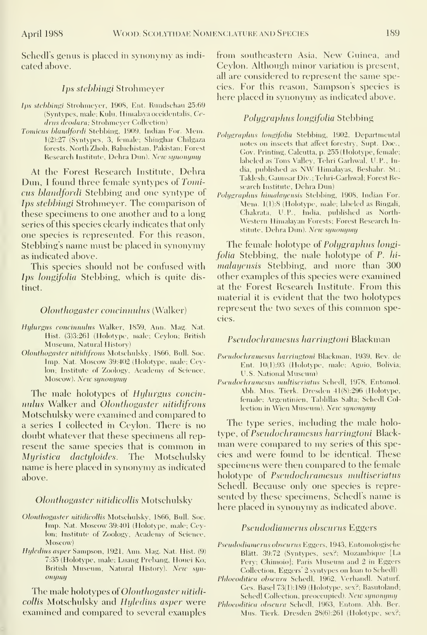Schedl's genus is placed in synonymy as indicated above.

## Ips stebbingi Strohmeyer

- Ips stebbingi Strohmeyer, 1908, Ent. Rundschau 25:69 (Syntypes, male; Kulu, Himalaya occidentalis, Cedrus deodara; Strohmeyer Collection)
- Tomicus blandfordi Stebbing, 1909, Indian For. Mem. 1(2):27 (Syntypes, 3, female; Shinshar Chilgaza forests. North Zhob, Baluchistan, Pakistan; Forest Research Institute, Dehra Dun). New synonymy

At the Forest Research Institute, Dehra Dun, <sup>I</sup> found three female syntypes of Tomicus blandfordi Stebbing and one syntype of Ips stebbingi Strohmeyer. The comparison of these specimens to one another and to a long series of this species clearly indicates that only one species is represented. For this reason, Stebbing's name must be placed in synonymy as indicated above.

This species should not be confused with Ips longifolia Stebbing, which is quite distinct.

## Olonthogaster concinmdus (Walker)

- Hylurgus concinnulus Walker, 1859, Ann. Mag. Nat. Hist. (3)3:261 (Holotype, male; Ceylon; British Museum, Natural History)
- Olonthogaster nitidifrons Motschulsky, 1866, Bull. Soc. Imp. Nat. Moscow 39:402 (Holotype, male; Ceylon; Institute of Zoology, Academy of Science, Moscow). New synonymy

The male holotypes of Hylurgus concinnulus Walker and Olonthogaster nitidifrons Motschulsky were examined and compared to a series <sup>I</sup> collected in Ceylon. There is no doubt whatever that these specimens all rep resent the same species that is common in Myristica dactyloides. The Motschulsky name is here placed in synonymy as indicated above.

## Olonthogaster nitidicollis Motschulsky

- Olonthogaster nitidicollis Motschulsky, 1866, Bull. Soc. Imp. Nat. Moscow 39:401 (Holotype, male; Ceylon; Institute of Zoology, Academy of Science, Moscow)
- Hyledius asper Sampson, 1921, Ann. Mag. Nat. Hist. (9) 7:35 (Holotype, male; Luang Prebang, Houei Ko; British Museum, Natiual History). New syn onymy

The male holotypes of *Olonthogaster nitidi*collis Motschulsky and Hyledius asper were examined and compared to several examples from southeastern Asia, New Guinea, and Ceylon. Although minor variation is present, all are considered to represent the same species. For this reason, Sampson's species is here placed in synonymy as indicated above.

## Polygraphus longifolia Stebbing

- Polygraphus longifolia Stebbing, 1902, Departmental notes on insects that afiect forestry, Supt. Doc, Gov. Printing, Calcutta, p. 255 (Holotype, female; labeled as Tons Valley, Tehri Carhwal, U.P., India, published as NVV Himalayas, Beshahr. St.; Taklesh; Gaunsar Div. ; Tehri-Garhwal; Forest Research Institute, Dehra Dun)
- Polygraphus himalayensis Stebbing, 1908, Indian For. Mem. 1(1):8 (Holotype, male; labeled as Ringali, Chakrata, U.P., India, published as North western Himalayan Forests; Forest Research Institute, Dehra Dun). New synonymy

The female holotype of *Polygraphus longi*folia Stebbing, the male holotype of P. hi malayensis Stebbing, and more than 300 other examples of this species were examined at the Forest Research Institute. From this material it is evident that the two holotypes represent the two sexes of this common species.

#### Pseudochramesus harringtoni Blackman

- Psendochramesus harringtoni Blackman, 1939, Rev. de Ent. 10(1):93 (Holotype, male; Aguio, Bolivia; U.S. National Museum)
- Psendochramesus multiseriatus Schedl, 1978, Entomol. Abh. Mus. Tierk. Dresden 41(8):296 (Holotype, female; Argentinicn, Tablillas Salta; Schedl Collection in Wien Museum). New synonymy

The type series, including the male holotype, of Pseudochramesus harringtoni Blackman were compared to my series of this species and were found to be identical. These specimens were then compared to the female holotype of Psendochramesus multiseriatus Schedl. Because only one species is repre sented by these specimens, Schedl's name is here placed in synonymy as indicated above.

## Pseudodiamerus obscurus Eggers

- Pseudodiamerus obscurus Eggers, 1943, Entomologische Blätt. 39:72 (Syntypes, sex?; Mozambique [La Pery; Chimoio]; Paris Museum and 2 in Eggers Collection, Eggers' 2 syntypes on loan to Schedl)
- Phloeoditica obscura Schedl, 1962, Verhandl. Naturf. Ges. Basel 73(1):189 (Holotype, sex?; Basutoland;
- Schedl Collection, preoccupied). New synonymy Phloeoditica obscura Schedl, 1963, Entom. Abh. Ber.
	- Mus. Tierk. Dresden 28(6):261 (Holotype, sex?;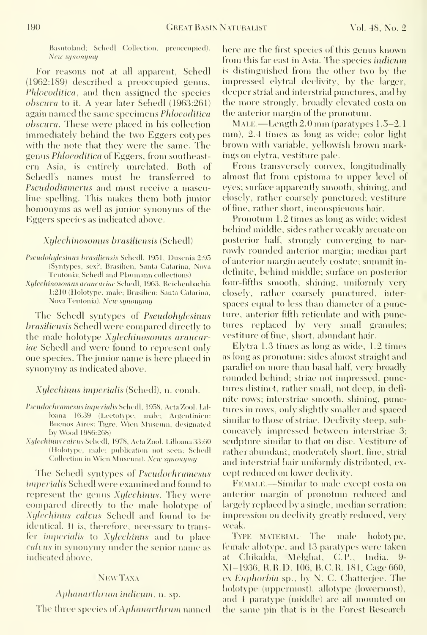Basutoland; Schedl Collection, preoccupied). New synonymy

For reasons not at all apparent, Schedl (1962:189) described a preoccupied genus, Phloeoditica, and then assigned the species obscura to it. A year later Schedl (1963:261) again named the same specimens Phloeoditica obscura. These were placed in his collection immediately behind the two Eggers cotypes with the note that they were the same. The genus Phloeoditica of Eggers, from southeast ern Asia, is entirely unrelated. Both of Schedls names must be transferred to Pseudodiamerus and must receive a masculine spelling. This makes them both junior homonyms as well as junior synonyms of the Eggers species as indicated above.

## Xylechinosomus brasiliensis (Schedl)

- Pseudohylesinus brasiliensis Schedl, 1951, Dusenia 2:95 (Syntypes, sex?; Brasilien, Santa Catarina, Nova Teutonia; Schedl and Plaumann collections)
- Xylcchinosomtisaraucariae Schedl, 1963, Reichenhachia 1:210 (Holotype, male; Brasilien: Santa Catarina, NovaTeutonia). New synonymy

The Schedl syntypes of Pseudohylesinus brasiliensis Schedl were compared directly to the male holotype Xylechinosomus araucariae Schedl and were found to represent only one species. The junior name is here placed in synonymy as indicated above.

Xylechinus imperialis (Schedl), n. comb.

- Pscudochramesus imperialis Schedl, 1958, Acta Zool. Lilloana 16:39 (Lectotype, male; Argentinien: Buenos Aires: Tigre; Wien Museum, designated by Wood 1986:268)
- Xylechinus calvus Schedl, 1978, Acta Zool. Lilloana 33:60 (Holotype, male; publication not seen; Schedl (Collection in Wien Museum). New synonymy

The Schedl syntypes of *Pseudochramesus* imperialis Schedl were examined and found to represent the genus  $Xylechinus$ . They were compared directly to the male holotype of Xylechinus calvus Schedl and found to be identical. It is, therefore, necessary to transfer imperialis to Xylechinus and to place calvus in synonymy under the senior name as indicated above.

## NewTaxa

## Aphanarthrum indicum, n. sp.

The three species of Aphanarthrum named

here are the first species of this genus known from this far east in Asia. The species indicum is distinguished from the other two by the impressed elytral declivity, by the larger, deeper strial and interstrial punctures, and by the more strongly, broadly elevated costa on the anterior margin of the pronotum.

MALE — Length  $2.0$  mm (paratypes  $1.5-2.1$ ) mm), 2.4 times as long as wide; color light brown with variable, yellowish brown markings on elytra, vestiture pale.

Frons transversely convex, longitudinally almost flat from epistoma to upper level of eyes; surface apparently smooth, shining, and closely, rather coarsely punctured; \estiture of fine, rather short, inconspicuous hair.

Pronotiun 1.2 times as long as wide; widest behind middle, sides rather weakly arcuate on posterior half, strongly converging to nar rowly rounded anterior margin; median part of anterior margin acutely costate; summit indefinite, behind middle; surface on posterior four-fifths smooth, shining, uniformly very closely, rather coarsely punctured, interspaces equal to less than diameter of a puncture, anterior fifth reticulate and with punctures replaced by very small granules; vestiture of fine, short, abundant hair.

Elytra 1.3 times as long as wide, 1.2 times as long as pronotiun; sides almost straight and parallel on more than basal half, very broadly rounded behind; striae not impressed, punctures distinct, rather small, not deep, in defi nite rows; interstriae smooth, shining, punctures in rows, only slightly smaller and spaced similar to those of striae. Declivity steep, subconcavely impressed between interstriae 3; sculpture similar to that on disc. Vestiture of rather abundant, moderately short, fine, strial and interstrial hair uniformly distributed, except reduced on lower declivity.

FEMALE.-Similar to male except costa on anterior margin of pronotum reduced and largely replaced by a single, median serration; impression on declivity greatly reduced, very weak.

TYPE MATERIAL.—The male holotype, female allotype, and 13 paratypes were taken at Chikalda, Melghat, C.P., India, 9-XI-1936, K.H.D. 106, B.C.H. 181, Cage 660, ex Euphorbia sp., by N. C. Chatterjee. The holotype (uppermost), allotype (lowermost), and  $\bar{1}$  paratype (middle) are all mounted on the same pin that is in the Forest Research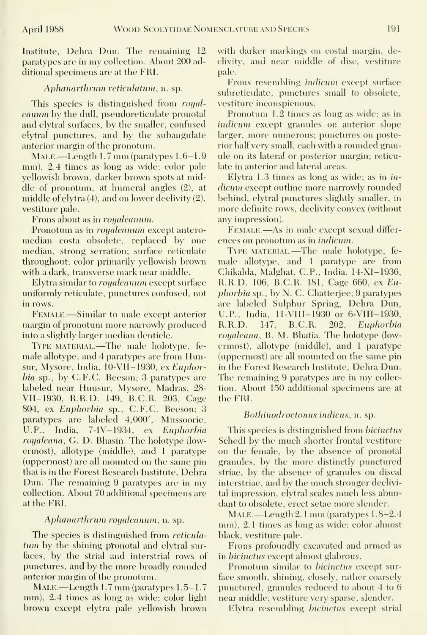Institute, Dehra Dun. The remaining 12 paratypes are in my collection. About 200 additional specimens are at the FRI.

#### Aphanarthrum reticulatum, n. sp.

This species is distinguished from royaleanum by the dull, pseudoreticulate pronotal and elytral surfaces, by the smaller, confused elytral punctures, and by the subangulate anterior margin of the pronotum.

Male.—Length 1.7 mm (paratypes 1.6-1.9 mm), 2.4 times as long as wide; color pale yellowish brown, darker brown spots at middle of pronotum, at humeral angles (2), at middle of elytra (4), and on lower declivity (2), vestiture pale.

Frons about as in royaleanum.

Pronotum as in royaleanum except antero median costa obsolete, replaced by one median, strong serration; surface reticulate throughout; color primarily yellowish brown with a dark, transverse mark near middle.

Elytra similar to royaleanum except surface uniformly reticulate, punctures confused, not in rows.

FEMALE.—Similar to male except anterior U.P., 1<br>argin of pronotum more narrowly produced R.R.D. margin of pronotum more narrowly produced into a slightly larger median denticle.

TYPE MATERIAL.—The male holotype, female allotype, and 4 paratypes are from Hunsur, Mysore, India, lO-VII-1930, ex Euphorbia sp., by C.F.C. Beeson; 3 paratypes are labeled near Hunsur, Mysore, Madras, 28- VII-1930, R.R.D. 149, B.C.R. 203, Cage 804, ex Euphorbia sp., C.F.C. Beeson; 3 paratypes are labeled 4,000', Mussoorie, U.P., India, 7-IV-1934, ex Euphorbia royaleana, G. D. Bhasin. The holotype (lowermost), allotype (middle), and <sup>1</sup> paratype (uppermost) are all mounted on the same pin that is in the Forest Research Institute, Dehra Dun. The remaining <sup>9</sup> paratypes are in my collection. About 70 additional specimens are at the FRI.

#### Aplianartlirum royaleanum, n. sp.

The species is distinguished from *reticula*tum by the shining pronotal and elytral surfaces, by the strial and interstrial rows of punctures, and by the more broadly rounded anterior margin of the pronotum.

MALE — Length 1.7 mm (paratypes 1.5–1.7 mm), 2.4 times as long as wide; color light brown except elytra pale yellowish brown

with darker markings on costal margin, declivity, and near middle of disc, vestiture pale.

Frons resembling indicum except surface subreticulate, punctures small to obsolete, vestiture inconspicuous

Pronotum 1.2 times as long as wide; as in indicum except granules on anterior slope larger, more numerous; punctures on posterior half very small, each with a rounded granule on its lateral or posterior margin; reticulate in anterior and lateral areas.

Elytra 1.3 times as long as wide; as in in dicum except outline more narrowly rounded behind, elytral punctures slightly smaller, in more definite rows, declivity convex (without any impression).

Female.—As in male except sexual differ ences on pronotum as in indicum.

TYPE MATERIAL.—The male holotype, female allotvpe, and <sup>1</sup> paratvpe are from Chikalda, Malghat, C.P., India. 14-XI-1936, R.R.D. 106, B.C.R. 181, Cage 660, ex Euphorbia sp., by N. C. Chatterjee; 9 paratypes are labeled Sulphur Spring, Dehra Dun, U.P., India, 11-VIII- 1930 or 6-VIII- 1930, 147, B.C.R. 202, Euphorbia royaleana, B. M. Bhatia. The holotype (lowermost), allotype (middle), and <sup>1</sup> paratype (uppermost) are all mounted on the same pin in the Forest Research Institute, Dehra Dun. The remaining 9 paratypes are in my collection. About 150 additional specimens are at the FRI.

#### Bothinodroctonus indicus, n. sp.

This species is distinguished from bicinctus Schedl by the much shorter frontal vestiture on the female, by the absence of pronotal granules, by the more distinctly punctured striae, by the absence of granules on discal interstriae, and by the much stronger declivital impression, elytral scales much less abundant to obsolete, erect setae more slender.

Male.—Length 2. <sup>1</sup> mm (paratypes 1.8-2.4 mm), 2. <sup>1</sup> times as long as wide; color almost black, vestiture pale.

Frons profoundly excavated and armed as in bicinctus except almost glabrous.

Pronotum similar to *bicinctus* except surface smooth, shining, closely, rather coarsely punctured, granules reduced to about 4 to 6 near middle; vestiture very sparse, slender.

Elytra resembling bicinctus except strial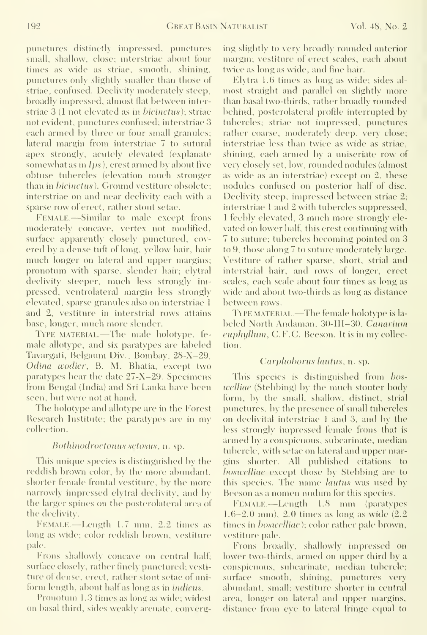punctures distinctly impressed, punctures small, shallow, close; interstriae about four times as wide as striae, smooth, shining, punctures only slightly smaller than those ol striae, confused. Declivitx moderately steep, broadly impressed, almost flat between interstriae 3 (1 not elevated as in bicinctus); striae not evident, punctures confused; interstriae 3 each armed by three or four small granules; lateral margin from interstriae 7 to sutural apex strongly, acutely elevated (explanate somewhat as in Ips), crest armed by about five obtuse tubercles (elevation much stronger than in bicinctus). Ground vestiture obsolete; interstriae on and near declivity each with a sparse row of erect, rather stout setae.

Female —Similar to male except frons moderately concave, vertex not modified, surface apparently closely punctured, cov ered by a dense tuft of long, yellow hair, hair much longer on lateral and upper margins; pronotum with sparse, slender hair; elytral declivity steeper, much less strongly impressed, ventrolateral margin less strongly elevated, sparse granules also on interstriae <sup>1</sup> and 2, vestiture in interstrial rows attains base, longer, much more slender.

Type material.—The male holotype, fe male allotype, and six paratypes are labeled Tavargati, Belgaum Div., Bombay, 28-X-29, Odina wodier, B. M. Bhatia, except two paratypes bear the date 27-X-29. Specimens from Bengal (India) and Sri Lanka have been seen, but were not at hand.

The holotype and allotype are in the Forest Research Institute; the paratypes are in my collection.

#### Bothinodroctonus setosus, n. sp.

This unique species is distinguished by the reddish brown color, by the more abundant, shorter female frontal vestiture, by the more narrowly impressed elytral declivity, and by the larger spines on the posterolateral area of the declivity.

Female.—Length 1.7 mm, 2.2 times as long as wide; color reddish brown, vestiture pale.

Frons shallowly concave on central half; surface closely, rather finely punctured; vesti ture of dense, erect, rather stout setae of uni form length, about half as long as in *indicus*.

Pronotum 1.3 times as long as wide; widest on basal third, sides weakly arcuate, converging slightly to very broadly rounded anterior margin; vestiture of erect scales, each about twice as long as wide, and fine hair.

Elytra 1.6 times as long as wide; sides al most straight and parallel on slightly more than basal two-thirds, rather broadly rounded behind, posterolateral profile interrupted by tubercles; striae not impressed, punctures rather coarse, moderately deep, very close; interstriae less than twice as wide as striae, shining, each armed by a uniseriate row of very closely set, low, rounded nodules (almost as wide as an interstriae) except on 2, these nodules confused on posterior half of disc. Declivity steep, impressed between striae 2; interstriae <sup>1</sup> and 2 with tubercles suppressed, 1 feebly elevated, 3 much more strongly elevated on lower half, this crest continuing with 7 to suture; tubercles becoming pointed on 3 to 9, those along 7 to suture moderately large. Vestiture of rather sparse, short, strial and interstrial hair, and rows of longer, erect scales, each scale about four times as long as wide and about two-thirds as long as distance between rows.

TYPE MATERIAL.—The female holotype is labeled North Andaman, 30-III-30, Canarium euphyllum, C.F.C. Beeson. It is in my collection.

#### Carphoborus lautus, n. sp.

This species is distinguished from boswelliae (Stebbing) by the much stouter body form, by the small, shallow, distinct, strial pimctures, by the presence of small tubercles on declivital interstriae 1 and 3, and by the less strongly impressed female frons that is armed by a conspicuous, subcarinate, median tubercle, with setae on lateral and upper margins shorter. All published citations to *boswelliae* except those by Stebbing are to this species. The name *lautus* was used by Beeson as a nomen nudum tor this species.

Female.—Length 1.8 mm (paratypes 1.6-2.0 mm), 2.0 times as long as wide (2.2 times in *boswelliae*); color rather pale brown, vestiture pale.

Frons broadly, shallowly impressed on lower two-thirds, armed on upper third by a conspicuous, subcarinate, median tubercle; surface smooth, shining, punctures very abundant, small; vestiture shorter in central area, longer on lateral and upper margins, distance from eye to lateral fringe equal to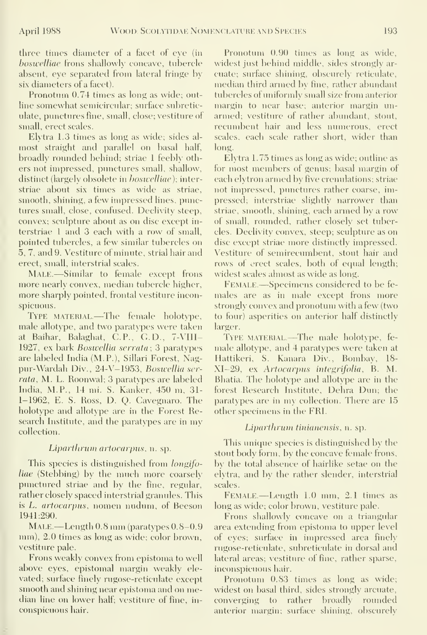three times diameter of a facet of eye (in hosivcUiae frons shallowly concave, tnbercle absent, eye separated from lateral fringe by six diameters of a facet).

Pronotum 0.74 times as long as wide; outline somewhat semicircular: surface subreticulate, punctures fine, small, close; vestiture of small, erect scales.

Elytra 1.3 times as long as wide; sides al most straight and parallel on basal half, broadly rounded behind; striae <sup>1</sup> feebly others not impressed, punctures small, shallow, distinct (largely obsolete in *boswelliae*); interstriae about six times as wide as striae, smooth, shining, a few impressed lines, punctures small, close, confused. Declivity steep, convex; sculpture about as on disc except in terstriae <sup>1</sup> and 3 each with a row of small, pointed tubercles, a few similar tubercles on 5, 7, and 9. Vestiture of minute, strial hair and erect, small, interstrial scales.

MALE.—Similar to female except frons more nearly convex, median tubercle higher, more sharply pointed, frontal vestiture inconspicuous.

TYPE MATERIAL.—The female holotype, male allotvpe, and two paratypes were taken at Baihar, Balaghat, C.P., G.D., 7-VIII-1927, ex bark Boswellia serrata; 3 paratypes are labeled India (M.P.), Sillari Forest, Nagpur-Wardah Div., 24-V-1953, Bosivellia ser rata, M. L. Roonwal; 3 paratvpes are labeled India, M.P., 14 mi. S. Kanker, 450 m, 31- 1-1962, E. S. Ross, D. Q. Cavegnaro. The holotype and allotype are in the Forest Research Institute, and the paratypes are in my collection.

#### Liparthrurn artocarpus, n. sp.

This species is distinguished from longifoliae (Stebbing) by the much more coarsely punctured striae and by the fine, regular, rather closely spaced interstrial granules. This is L. artocarpus, nomen nudum, of Beeson 1941:290.

MALE.—Length 0.8 mm (paratypes  $0.8-0.9$ mm), 2.0 times as long as wide; color brown, vestiture pale.

Frons weakly convex from epistoma to well above eyes, epistomal margin weakly ele vated; surface finely rugose-reticulate except smooth and shining near epistoma and on median line on lower half; vestiture of fine, in conspicuous hair.

Pronotum 0.90 times as long as wide, widest just behind middle, sides strongly ar cuate; surface shining, obscurely reticulate, median third armed by fine, rather abundant tubercles of uniformly small size from anterior margin to near base; anterior margin un armed; vestiture of rather abundant, stout, recumbent hair and less numerous, erect scales, each scale rather short, wider than long.

Elytra 1.75 times as long as wide; outline as for most members of genus; basal margin of each elytron armed by five crenulations; striae not impressed, punctures rather coarse, impressed; interstriae slightly narrower than striae, smooth, shining, each armed by a row of small, rounded, rather closely set tubercles. Declivity convex, steep; sculpture as on disc except striae more distinctly impressed. Vestiture of semirecumbent, stout hair and rows of erect scales, both of equal length; widest scales almost as wide as long.

Female —Specimens considered to be fe males are as in male except frons more strongly convex and pronotum with a few (two to four) asperities on anterior half distinctly larger.

TYPE MATERIAL.—The male holotype, female allotype, and 4 paratypes were taken at Hattikeri, S. Kanara Div., Bombay, 18- XI-29, ex Artocarpus integrifolia, B. M. Bhatia. The holotype and allotype are in the forest Research Institute, Dehra Dun; the paratypes are in my collection. There are 15 other specimens in the FRI.

#### Liparthrum tinianensis, n. sp.

This unique species is distinguished by the stout body form, by the concave female frons, by the total absence of hairlike setae on the elytra, and by the rather slender, interstrial scales.

Female. —Length 1.0 mm, 2.1 times as long as wide; color brown, vestiture pale.

Frons shallowly concave on a triangular area extending from epistoma to upper level of eyes; surface in impressed area finely rugose-reticulate, subreticulate in dorsal and lateral areas; vestiture of fine, rather sparse, inconspicuous hair.

Pronotum 0.83 times as long as wide; widest on basal third, sides strongly arcuate, converging to rather broadly rounded anterior margin; surface shining, obscurely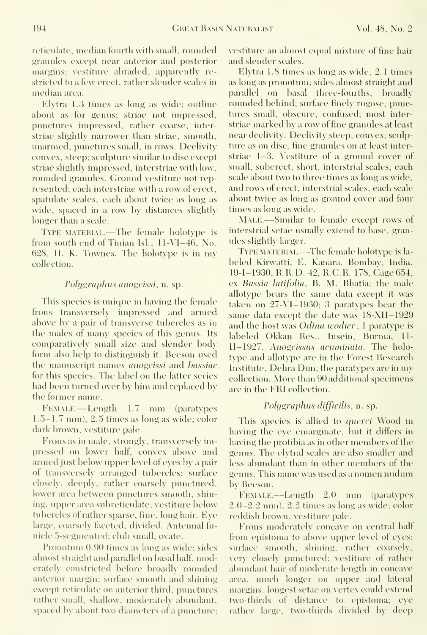reticulate, median fourth with small, rounded granules except near anterior and posterior margins; vestiture abraded, apparently re stricted to a few erect, rather slender scales in median area.

Elytra 1.3 times as long as wide; outline about as for genus; striae not impressed, pimctures impressed, rather coarse; interstriae slightly narrower than striae, smooth, unarmed, punctures small, in rows. Declivity convex, steep; scidpture similar to disc except striae slightly impressed, interstriae with low, rounded granules. Ground vestiture not rep resented; each interstriae with a row of erect, spatulate scales, each about twice as long as wide, spaced in a row by distances slightly longer than a scale.

Type material.—The female holotype is from south end of Tinian Isl., 11-VI-46, No. 628, H. K. Townes. The holotype is in my collection.

#### Polygraphus anogeissi, n. sp.

This species is unique in having the female frons transversely impressed and armed above by a pair of transverse tubercles as in the males of many species of this genus. Its comparatively small size and slender body form also help to distinguish it. Beeson used the manuscript names *anogeissi* and *bassiae* for this species. The label on the latter series had been turned over by him and replaced by the former name.

FEMALE.—Length 1.7 mm (paratypes 1.5-1.7 mm), 2.5 times as long as wide; color dark brown, vestiture pale.

Frons as in male, strongly, transversely impressed on lower half, convex above and armed just below upper level of eyes by a pair of transversely arranged tubercles; surface elosely, deeply, rather coarsely punctured, lower area between punctures smooth, shining, upper area subreticulate; vestiture below tubercles of rather sparse, fine, long hair. Eve large, coarsely faceted, divided. Antennal fu nicle 5-segmented; club small, ovate.

Pronotum 0.90 times as long as wide; sides almost straight and parallel on basal half, moderately constricted before broadly rounded anterior margin; surface smooth and shining except reticulate on anterior third, punctures rather small, shallow, moderately abundant, spaced by about two diameters of a puncture;

vestiture an almost equal mixture of fine hair and slender scales.

Elytra 1.8 times as long as wide, 2.1 times as long as pronotum; sides almost straight and parallel on basal three-fourths, broadly rounded behind; surface finely rugose, punctures small, obscure, confused; most interstriae marked by a row of fine granules at least near declivity. Declixity steep, convex; sculp ture as on disc, fine granules on at least interstriae 1-3. Vestiture of a ground cover of small, suberect, short, interstrial scales, each scale about two to three times as long as wide, and rows of erect, interstrial scales, each scale about twice as long as ground cover and four times as long as wide.

MALE.-Similar to female except rows of interstrial setae usually extend to base, granules slightly larger.

Type material.—The female holotype is la beled Kirwatti, E. Kanara, Bombav, India, 19-1-1930, R.H.D. 42, R.C.R. 178, Cage 654, ex Bassia latifolia, B. M. Bhatia; the male allotype bears the same data except it was taken on  $27-V1-1930$ ; 3 paratypes bear the same data except the date was 18-XII-1929 and the host was *Odina wodier*; 1 paratype is labeled Okkan Res., Insein, Burma, 11- 11-1927, Anogeissus acuminata. The holotype and allotype are in the Forest Research Institute, Dehra Dun; the paratypes are in my collection. More than 90 additional specimens are in the FRI collection.

## Polygraphus difficilis, n. sp.

This species is allied to *querci* Wood in having the eye emarginate, but it differs in having the protibia as in other members of the genus. The elytral scales are also smaller and less abundant than in other members of the genus. This name was used as <sup>a</sup> nomen nudum by Beeson.

 $FEMALE. - Length = 2.0$  nm (paratypes 2.0-2.2 mm), 2.2 times as long as wide; color reddish brown, vestiture pale.

Frons moderately concave on central half from epistoma to above upper level of eyes; surface smooth, shining, rather coarsely, very closely punctured; vestitine of rather abundant hair of moderate length in concave area, much longer on upper and lateral margins, longest setae on vertex could extend two-thirds of distance to epistoma; eye rather large, two-thirds divided by deep